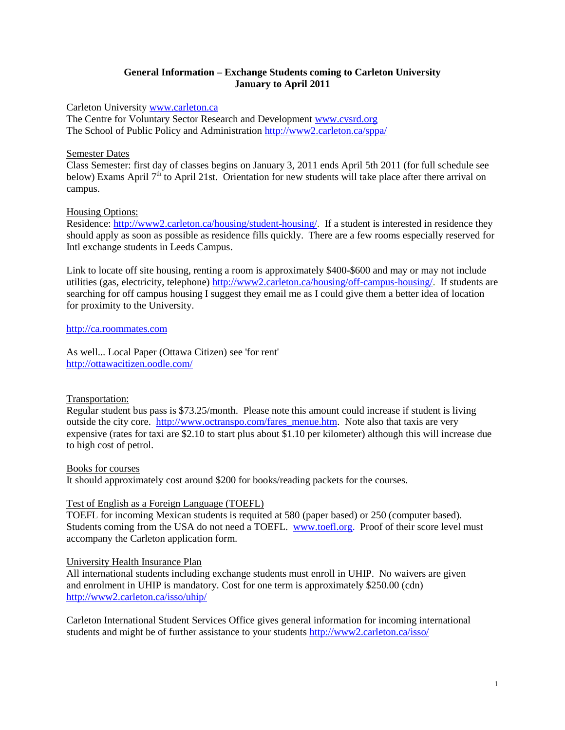### **General Information – Exchange Students coming to Carleton University January to April 2011**

Carleton University [www.carleton.ca](http://www.carleton.ca/)

The Centre for Voluntary Sector Research and Development [www.cvsrd.org](http://www.cvsrd.org/) The School of Public Policy and Administration <http://www2.carleton.ca/sppa/>

## Semester Dates

Class Semester: first day of classes begins on January 3, 2011 ends April 5th 2011 (for full schedule see below) Exams April  $7<sup>th</sup>$  to April 21st. Orientation for new students will take place after there arrival on campus.

# Housing Options:

Residence: [http://www2.carleton.ca/housing/student-housing/.](http://www2.carleton.ca/housing/student-housing/) If a student is interested in residence they should apply as soon as possible as residence fills quickly. There are a few rooms especially reserved for Intl exchange students in Leeds Campus.

Link to locate off site housing, renting a room is approximately \$400-\$600 and may or may not include utilities (gas, electricity, telephone) [http://www2.carleton.ca/housing/off-campus-housing/.](http://www2.carleton.ca/housing/off-campus-housing/) If students are searching for off campus housing I suggest they email me as I could give them a better idea of location for proximity to the University.

### [http://ca.roommates.com](http://ca.roommates.com/)

As well... Local Paper (Ottawa Citizen) see 'for rent' <http://ottawacitizen.oodle.com/>

# Transportation:

Regular student bus pass is \$73.25/month. Please note this amount could increase if student is living outside the city core. [http://www.octranspo.com/fares\\_menue.htm.](http://www.octranspo.com/fares_menue.htm) Note also that taxis are very expensive (rates for taxi are \$2.10 to start plus about \$1.10 per kilometer) although this will increase due to high cost of petrol.

Books for courses

It should approximately cost around \$200 for books/reading packets for the courses.

### Test of English as a Foreign Language (TOEFL)

TOEFL for incoming Mexican students is requited at 580 (paper based) or 250 (computer based). Students coming from the USA do not need a TOEFL. [www.toefl.org.](http://www.toefl.org/) Proof of their score level must accompany the Carleton application form.

### University Health Insurance Plan

All international students including exchange students must enroll in UHIP. No waivers are given and enrolment in UHIP is mandatory. Cost for one term is approximately \$250.00 (cdn) <http://www2.carleton.ca/isso/uhip/>

Carleton International Student Services Office gives general information for incoming international students and might be of further assistance to your students <http://www2.carleton.ca/isso/>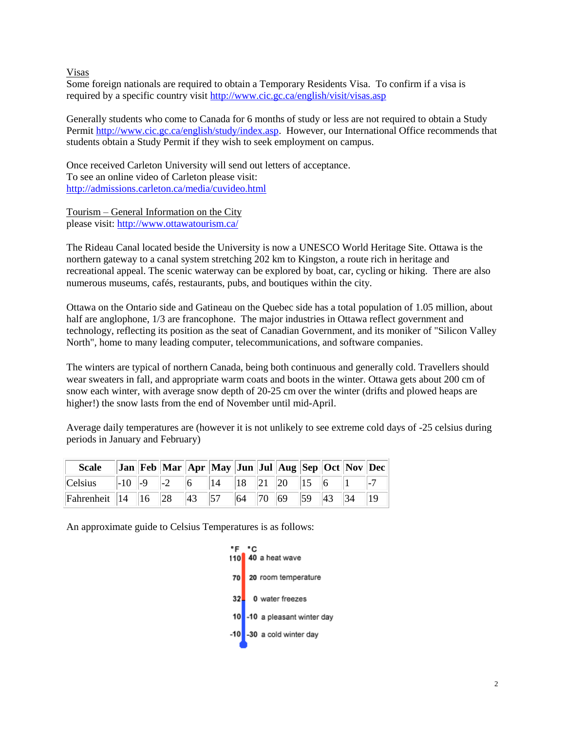Visas

Some foreign nationals are required to obtain a Temporary Residents Visa. To confirm if a visa is required by a specific country visit<http://www.cic.gc.ca/english/visit/visas.asp>

Generally students who come to Canada for 6 months of study or less are not required to obtain a Study Permit [http://www.cic.gc.ca/english/study/index.asp.](http://www.cic.gc.ca/english/study/index.asp) However, our International Office recommends that students obtain a Study Permit if they wish to seek employment on campus.

Once received Carleton University will send out letters of acceptance. To see an online video of Carleton please visit: <http://admissions.carleton.ca/media/cuvideo.html>

Tourism – General Information on the City please visit: <http://www.ottawatourism.ca/>

The Rideau Canal located beside the University is now a UNESCO World Heritage Site. Ottawa is the northern gateway to a canal system stretching 202 km to Kingston, a route rich in heritage and recreational appeal. The scenic waterway can be explored by boat, car, cycling or hiking. There are also numerous museums, cafés, restaurants, pubs, and boutiques within the city.

Ottawa on the Ontario side and Gatineau on the Quebec side has a total population of 1.05 million, about half are anglophone,  $1/3$  are francophone. The major industries in Ottawa reflect government and technology, reflecting its position as the seat of Canadian Government, and its moniker of "Silicon Valley North", home to many leading computer, telecommunications, and software companies.

The winters are typical of northern Canada, being both continuous and generally cold. Travellers should wear sweaters in fall, and appropriate warm coats and boots in the winter. Ottawa gets about 200 cm of snow each winter, with average snow depth of 20-25 cm over the winter (drifts and plowed heaps are higher!) the snow lasts from the end of November until mid-April.

Average daily temperatures are (however it is not unlikely to see extreme cold days of -25 celsius during periods in January and February)

| Scale Jan Feb Mar Apr May Jun Jul Aug Sep Oct Nov Dec             |  |  |  |  |  |  |
|-------------------------------------------------------------------|--|--|--|--|--|--|
| Celsius   -10   -9   -2   6   14   18   21   20   15   6   1   -7 |  |  |  |  |  |  |
| Fahrenheit 14 16 28 43 57 64 70 69 59 43 34 19                    |  |  |  |  |  |  |

An approximate guide to Celsius Temperatures is as follows:

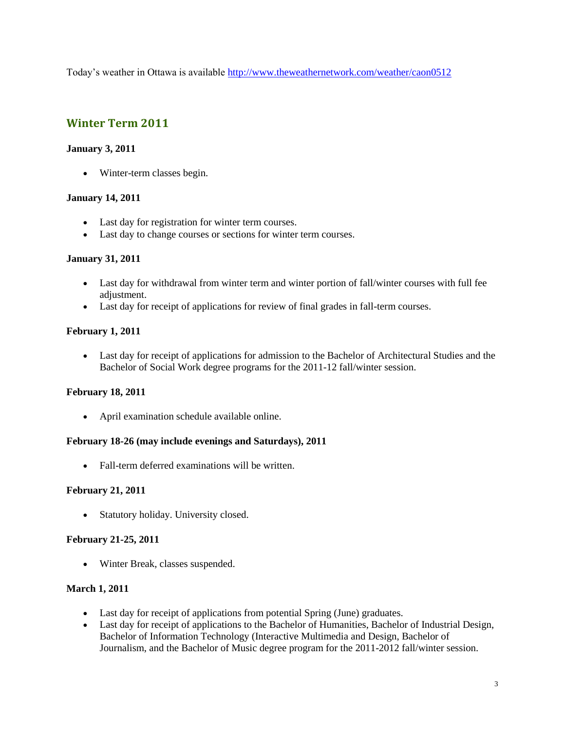Today's weather in Ottawa is available <http://www.theweathernetwork.com/weather/caon0512>

# **Winter Term 2011**

## **January 3, 2011**

Winter-term classes begin.

### **January 14, 2011**

- Last day for registration for winter term courses.
- Last day to change courses or sections for winter term courses.

# **January 31, 2011**

- Last day for withdrawal from winter term and winter portion of fall/winter courses with full fee adjustment.
- Last day for receipt of applications for review of final grades in fall-term courses.

# **February 1, 2011**

 Last day for receipt of applications for admission to the Bachelor of Architectural Studies and the Bachelor of Social Work degree programs for the 2011-12 fall/winter session.

# **February 18, 2011**

April examination schedule available online.

### **February 18-26 (may include evenings and Saturdays), 2011**

• Fall-term deferred examinations will be written.

### **February 21, 2011**

• Statutory holiday. University closed.

### **February 21-25, 2011**

Winter Break, classes suspended.

# **March 1, 2011**

- Last day for receipt of applications from potential Spring (June) graduates.
- Last day for receipt of applications to the Bachelor of Humanities, Bachelor of Industrial Design, Bachelor of Information Technology (Interactive Multimedia and Design, Bachelor of Journalism, and the Bachelor of Music degree program for the 2011-2012 fall/winter session.